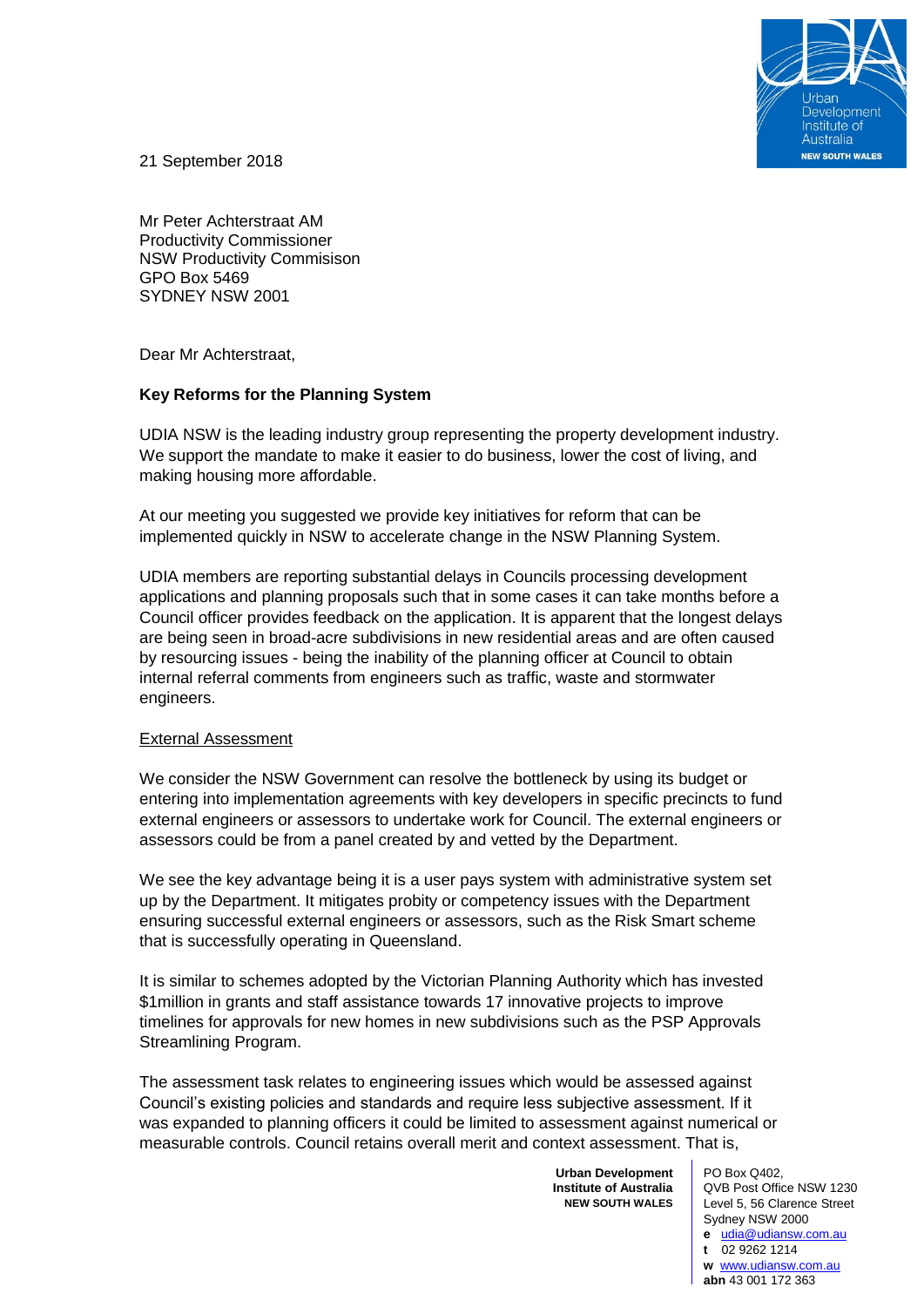

21 September 2018

Mr Peter Achterstraat AM Productivity Commissioner NSW Productivity Commisison GPO Box 5469 SYDNEY NSW 2001

Dear Mr Achterstraat,

## **Key Reforms for the Planning System**

UDIA NSW is the leading industry group representing the property development industry. We support the mandate to make it easier to do business, lower the cost of living, and making housing more affordable.

At our meeting you suggested we provide key initiatives for reform that can be implemented quickly in NSW to accelerate change in the NSW Planning System.

UDIA members are reporting substantial delays in Councils processing development applications and planning proposals such that in some cases it can take months before a Council officer provides feedback on the application. It is apparent that the longest delays are being seen in broad-acre subdivisions in new residential areas and are often caused by resourcing issues - being the inability of the planning officer at Council to obtain internal referral comments from engineers such as traffic, waste and stormwater engineers.

## External Assessment

We consider the NSW Government can resolve the bottleneck by using its budget or entering into implementation agreements with key developers in specific precincts to fund external engineers or assessors to undertake work for Council. The external engineers or assessors could be from a panel created by and vetted by the Department.

We see the key advantage being it is a user pays system with administrative system set up by the Department. It mitigates probity or competency issues with the Department ensuring successful external engineers or assessors, such as the Risk Smart scheme that is successfully operating in Queensland.

It is similar to schemes adopted by the Victorian Planning Authority which has invested \$1million in grants and staff assistance towards 17 innovative projects to improve timelines for approvals for new homes in new subdivisions such as the PSP Approvals Streamlining Program.

The assessment task relates to engineering issues which would be assessed against Council's existing policies and standards and require less subjective assessment. If it was expanded to planning officers it could be limited to assessment against numerical or measurable controls. Council retains overall merit and context assessment. That is,

> **Urban Development Institute of Australia NEW SOUTH WALES**

PO Box Q402, QVB Post Office NSW 1230 Level 5, 56 Clarence Street Sydney NSW 2000

**e** [udia@udiansw.com.au](mailto:udia@udiansw.com.au) **t** 02 9262 1214 **w** [www.udiansw.com.au](http://www.udiansw.com.au/) **abn** 43 001 172 363